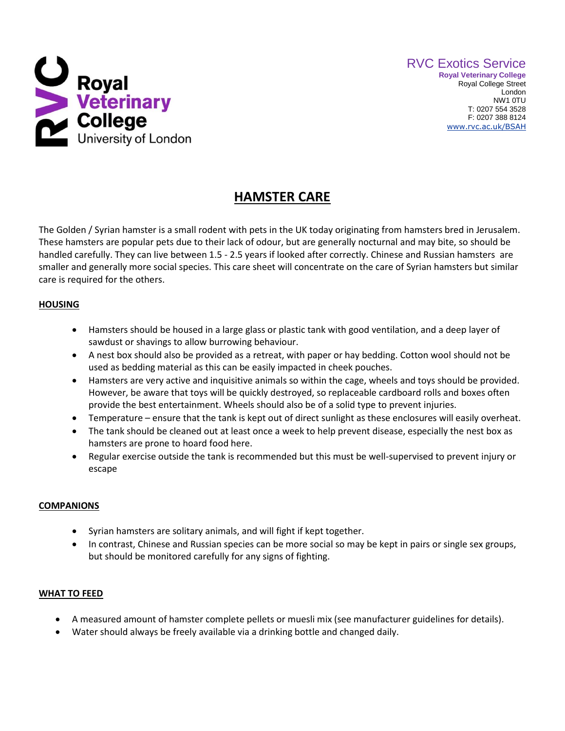

# **HAMSTER CARE**

The Golden / Syrian hamster is a small rodent with pets in the UK today originating from hamsters bred in Jerusalem. These hamsters are popular pets due to their lack of odour, but are generally nocturnal and may bite, so should be handled carefully. They can live between 1.5 - 2.5 years if looked after correctly. Chinese and Russian hamsters are smaller and generally more social species. This care sheet will concentrate on the care of Syrian hamsters but similar care is required for the others.

## **HOUSING**

- Hamsters should be housed in a large glass or plastic tank with good ventilation, and a deep layer of sawdust or shavings to allow burrowing behaviour.
- A nest box should also be provided as a retreat, with paper or hay bedding. Cotton wool should not be used as bedding material as this can be easily impacted in cheek pouches.
- Hamsters are very active and inquisitive animals so within the cage, wheels and toys should be provided. However, be aware that toys will be quickly destroyed, so replaceable cardboard rolls and boxes often provide the best entertainment. Wheels should also be of a solid type to prevent injuries.
- Temperature ensure that the tank is kept out of direct sunlight as these enclosures will easily overheat.
- The tank should be cleaned out at least once a week to help prevent disease, especially the nest box as hamsters are prone to hoard food here.
- Regular exercise outside the tank is recommended but this must be well-supervised to prevent injury or escape

## **COMPANIONS**

- Syrian hamsters are solitary animals, and will fight if kept together.
- In contrast, Chinese and Russian species can be more social so may be kept in pairs or single sex groups, but should be monitored carefully for any signs of fighting.

## **WHAT TO FEED**

- A measured amount of hamster complete pellets or muesli mix (see manufacturer guidelines for details).
- Water should always be freely available via a drinking bottle and changed daily.